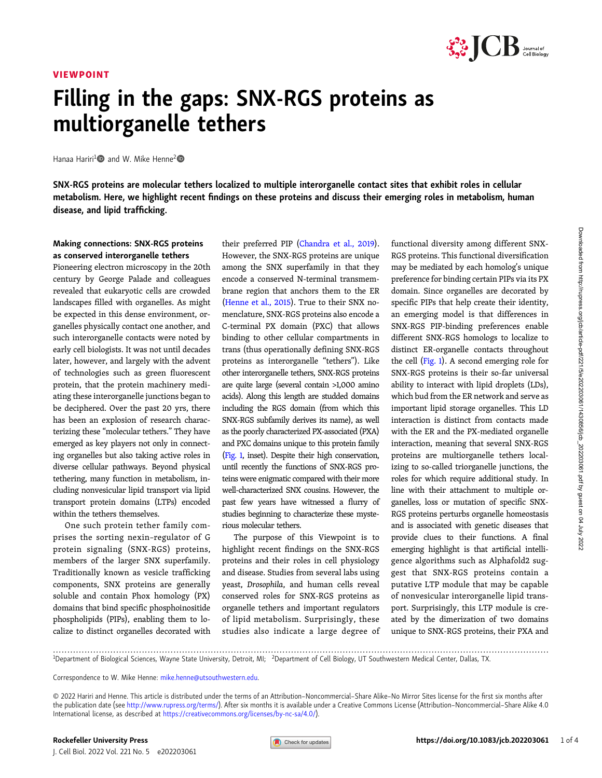#### VIEWPOINT



## Filling in the gaps: SNX-RGS proteins as multiorganelle tethers

Hanaa Hariri<sup>1</sup> and W. Mike Henne<sup>2</sup>

SNX-RGS proteins are molecular tethers localized to multiple interorganelle contact sites that exhibit roles in cellular metabolism. Here, we highlight recent findings on these proteins and discuss their emerging roles in metabolism, human disease, and lipid trafficking.

#### Making connections: SNX-RGS proteins as conserved interorganelle tethers

Pioneering electron microscopy in the 20th century by George Palade and colleagues revealed that eukaryotic cells are crowded landscapes filled with organelles. As might be expected in this dense environment, organelles physically contact one another, and such interorganelle contacts were noted by early cell biologists. It was not until decades later, however, and largely with the advent of technologies such as green fluorescent protein, that the protein machinery mediating these interorganelle junctions began to be deciphered. Over the past 20 yrs, there has been an explosion of research characterizing these "molecular tethers." They have emerged as key players not only in connecting organelles but also taking active roles in diverse cellular pathways. Beyond physical tethering, many function in metabolism, including nonvesicular lipid transport via lipid transport protein domains (LTPs) encoded within the tethers themselves.

One such protein tether family comprises the sorting nexin–regulator of G protein signaling (SNX-RGS) proteins, members of the larger SNX superfamily. Traditionally known as vesicle trafficking components, SNX proteins are generally soluble and contain Phox homology (PX) domains that bind specific phosphoinositide phospholipids (PIPs), enabling them to localize to distinct organelles decorated with

their preferred PIP ([Chandra et al., 2019\)](#page-3-0). However, the SNX-RGS proteins are unique among the SNX superfamily in that they encode a conserved N-terminal transmembrane region that anchors them to the ER [\(Henne et al., 2015\)](#page-3-0). True to their SNX nomenclature, SNX-RGS proteins also encode a C-terminal PX domain (PXC) that allows binding to other cellular compartments in trans (thus operationally defining SNX-RGS proteins as interorganelle "tethers"). Like other interorganelle tethers, SNX-RGS proteins are quite large (several contain >1,000 amino acids). Along this length are studded domains including the RGS domain (from which this SNX-RGS subfamily derives its name), as well as the poorly characterized PX-associated (PXA) and PXC domains unique to this protein family [\(Fig. 1,](#page-1-0) inset). Despite their high conservation, until recently the functions of SNX-RGS proteins were enigmatic compared with their more well-characterized SNX cousins. However, the past few years have witnessed a flurry of studies beginning to characterize these mysterious molecular tethers.

The purpose of this Viewpoint is to highlight recent findings on the SNX-RGS proteins and their roles in cell physiology and disease. Studies from several labs using yeast, Drosophila, and human cells reveal conserved roles for SNX-RGS proteins as organelle tethers and important regulators of lipid metabolism. Surprisingly, these studies also indicate a large degree of functional diversity among different SNX-RGS proteins. This functional diversification may be mediated by each homolog's unique preference for binding certain PIPs via its PX domain. Since organelles are decorated by specific PIPs that help create their identity, an emerging model is that differences in SNX-RGS PIP-binding preferences enable different SNX-RGS homologs to localize to distinct ER-organelle contacts throughout the cell [\(Fig. 1](#page-1-0)). A second emerging role for SNX-RGS proteins is their so-far universal ability to interact with lipid droplets (LDs), which bud from the ER network and serve as important lipid storage organelles. This LD interaction is distinct from contacts made with the ER and the PX-mediated organelle interaction, meaning that several SNX-RGS proteins are multiorganelle tethers localizing to so-called triorganelle junctions, the roles for which require additional study. In line with their attachment to multiple organelles, loss or mutation of specific SNX-RGS proteins perturbs organelle homeostasis and is associated with genetic diseases that provide clues to their functions. A final emerging highlight is that artificial intelligence algorithms such as Alphafold2 suggest that SNX-RGS proteins contain a putative LTP module that may be capable of nonvesicular interorganelle lipid transport. Surprisingly, this LTP module is created by the dimerization of two domains unique to SNX-RGS proteins, their PXA and

Downloaded from http://rupress.org/cb/article-pdf/221/5/e202203061/14308566/cb\_202203061.pdf by guest on 04 July 2022

Downloaded from http://rupress.org/jcb/article-pdf/221/5/e202203061/1430856/jcb\_202203061.pdf by guest on 04 July 2022

............................................................................................................................................................................. <sup>1</sup> Department of Biological Sciences, Wayne State University, Detroit, MI; <sup>2</sup> Department of Cell Biology, UT Southwestern Medical Center, Dallas, TX.

Correspondence to W. Mike Henne: [mike.henne@utsouthwestern.edu.](mailto:mike.henne@utsouthwestern.edu)

© 2022 Hariri and Henne. This article is distributed under the terms of an Attribution–Noncommercial–Share Alike–No Mirror Sites license for the first six months after the publication date (see <http://www.rupress.org/terms/>). After six months it is available under a Creative Commons License (Attribution–Noncommercial–Share Alike 4.0 International license, as described at <https://creativecommons.org/licenses/by-nc-sa/4.0/>).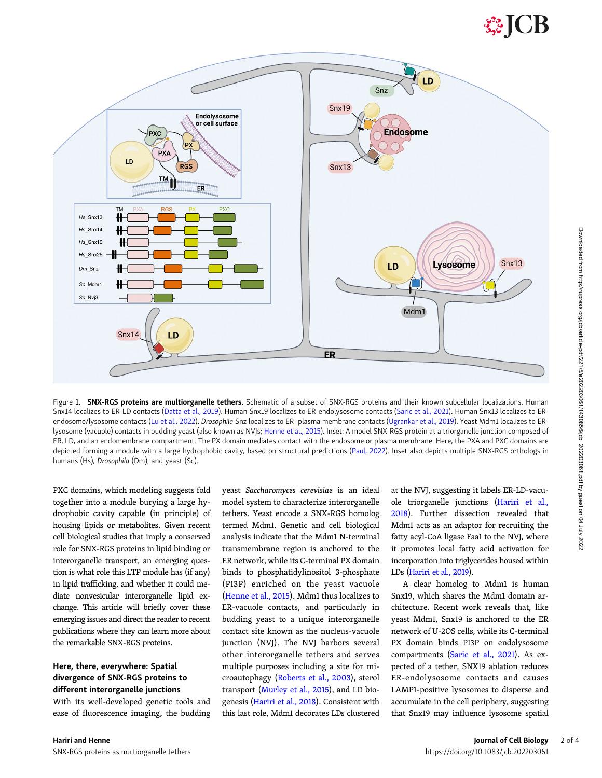# **SSICB**

<span id="page-1-0"></span>

Figure 1. SNX-RGS proteins are multiorganelle tethers. Schematic of a subset of SNX-RGS proteins and their known subcellular localizations. Human Snx14 localizes to ER-LD contacts [\(Datta et al., 2019](#page-3-0)). Human Snx19 localizes to ER-endolysosome contacts ([Saric et al., 2021](#page-3-0)). Human Snx13 localizes to ER-endosome/lysosome contacts ([Lu et al., 2022\)](#page-3-0). Drosophila Snz localizes to ER-plasma membrane contacts ([Ugrankar et al., 2019\)](#page-3-0). Yeast Mdm1 localizes to ER-lysosome (vacuole) contacts in budding yeast (also known as NVJs; [Henne et al., 2015](#page-3-0)). Inset: A model SNX-RGS protein at a triorganelle junction composed of ER, LD, and an endomembrane compartment. The PX domain mediates contact with the endosome or plasma membrane. Here, the PXA and PXC domains are depicted forming a module with a large hydrophobic cavity, based on structural predictions ([Paul, 2022\)](#page-3-0). Inset also depicts multiple SNX-RGS orthologs in humans (Hs), Drosophila (Dm), and yeast (Sc).

PXC domains, which modeling suggests fold together into a module burying a large hydrophobic cavity capable (in principle) of housing lipids or metabolites. Given recent cell biological studies that imply a conserved role for SNX-RGS proteins in lipid binding or interorganelle transport, an emerging question is what role this LTP module has (if any) in lipid trafficking, and whether it could mediate nonvesicular interorganelle lipid exchange. This article will briefly cover these emerging issues and direct the reader to recent publications where they can learn more about the remarkable SNX-RGS proteins.

#### Here, there, everywhere: Spatial divergence of SNX-RGS proteins to different interorganelle junctions

With its well-developed genetic tools and ease of fluorescence imaging, the budding yeast Saccharomyces cerevisiae is an ideal model system to characterize interorganelle tethers. Yeast encode a SNX-RGS homolog termed Mdm1. Genetic and cell biological analysis indicate that the Mdm1 N-terminal transmembrane region is anchored to the ER network, while its C-terminal PX domain binds to phosphatidylinositol 3-phosphate (PI3P) enriched on the yeast vacuole [\(Henne et al., 2015\)](#page-3-0). Mdm1 thus localizes to ER-vacuole contacts, and particularly in budding yeast to a unique interorganelle contact site known as the nucleus-vacuole junction (NVJ). The NVJ harbors several other interorganelle tethers and serves multiple purposes including a site for microautophagy ([Roberts et al., 2003\)](#page-3-0), sterol transport ([Murley et al., 2015\)](#page-3-0), and LD biogenesis ([Hariri et al., 2018](#page-3-0)). Consistent with this last role, Mdm1 decorates LDs clustered at the NVJ, suggesting it labels ER-LD-vacuole triorganelle junctions ([Hariri et al.,](#page-3-0) [2018\)](#page-3-0). Further dissection revealed that Mdm1 acts as an adaptor for recruiting the fatty acyl-CoA ligase Faa1 to the NVJ, where it promotes local fatty acid activation for incorporation into triglycerides housed within LDs [\(Hariri et al., 2019\)](#page-3-0).

A clear homolog to Mdm1 is human Snx19, which shares the Mdm1 domain architecture. Recent work reveals that, like yeast Mdm1, Snx19 is anchored to the ER network of U-2OS cells, while its C-terminal PX domain binds PI3P on endolysosome compartments [\(Saric et al., 2021](#page-3-0)). As expected of a tether, SNX19 ablation reduces ER-endolysosome contacts and causes LAMP1-positive lysosomes to disperse and accumulate in the cell periphery, suggesting that Snx19 may influence lysosome spatial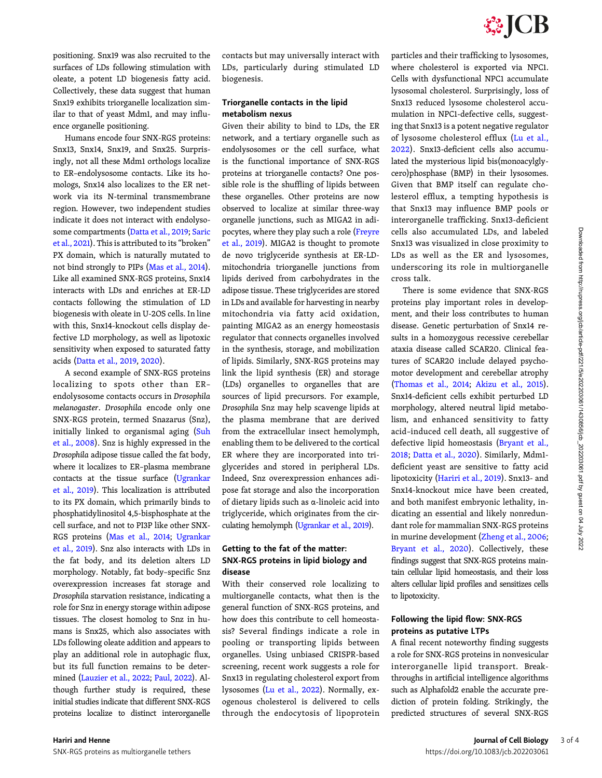positioning. Snx19 was also recruited to the surfaces of LDs following stimulation with oleate, a potent LD biogenesis fatty acid. Collectively, these data suggest that human Snx19 exhibits triorganelle localization similar to that of yeast Mdm1, and may influence organelle positioning.

Humans encode four SNX-RGS proteins: Snx13, Snx14, Snx19, and Snx25. Surprisingly, not all these Mdm1 orthologs localize to ER–endolysosome contacts. Like its homologs, Snx14 also localizes to the ER network via its N-terminal transmembrane region. However, two independent studies indicate it does not interact with endolysosome compartments [\(Datta et al., 2019;](#page-3-0) [Saric](#page-3-0) [et al., 2021\)](#page-3-0). This is attributed to its "broken" PX domain, which is naturally mutated to not bind strongly to PIPs [\(Mas et al., 2014\)](#page-3-0). Like all examined SNX-RGS proteins, Snx14 interacts with LDs and enriches at ER-LD contacts following the stimulation of LD biogenesis with oleate in U-2OS cells. In line with this, Snx14-knockout cells display defective LD morphology, as well as lipotoxic sensitivity when exposed to saturated fatty acids ([Datta et al., 2019,](#page-3-0) [2020](#page-3-0)).

A second example of SNX-RGS proteins localizing to spots other than ER– endolysosome contacts occurs in Drosophila melanogaster. Drosophila encode only one SNX-RGS protein, termed Snazarus (Snz), initially linked to organismal aging ([Suh](#page-3-0) [et al., 2008](#page-3-0)). Snz is highly expressed in the Drosophila adipose tissue called the fat body, where it localizes to ER–plasma membrane contacts at the tissue surface ([Ugrankar](#page-3-0) [et al., 2019](#page-3-0)). This localization is attributed to its PX domain, which primarily binds to phosphatidylinositol 4,5-bisphosphate at the cell surface, and not to PI3P like other SNX-RGS proteins ([Mas et al., 2014](#page-3-0); [Ugrankar](#page-3-0) [et al., 2019](#page-3-0)). Snz also interacts with LDs in the fat body, and its deletion alters LD morphology. Notably, fat body–specific Snz overexpression increases fat storage and Drosophila starvation resistance, indicating a role for Snz in energy storage within adipose tissues. The closest homolog to Snz in humans is Snx25, which also associates with LDs following oleate addition and appears to play an additional role in autophagic flux, but its full function remains to be determined [\(Lauzier et al., 2022](#page-3-0); [Paul, 2022](#page-3-0)). Although further study is required, these initial studies indicate that different SNX-RGS proteins localize to distinct interorganelle

contacts but may universally interact with LDs, particularly during stimulated LD biogenesis.

#### Triorganelle contacts in the lipid metabolism nexus

Given their ability to bind to LDs, the ER network, and a tertiary organelle such as endolysosomes or the cell surface, what is the functional importance of SNX-RGS proteins at triorganelle contacts? One possible role is the shuffling of lipids between these organelles. Other proteins are now observed to localize at similar three-way organelle junctions, such as MIGA2 in adipocytes, where they play such a role [\(Freyre](#page-3-0) [et al., 2019\)](#page-3-0). MIGA2 is thought to promote de novo triglyceride synthesis at ER-LDmitochondria triorganelle junctions from lipids derived from carbohydrates in the adipose tissue. These triglycerides are stored in LDs and available for harvesting in nearby mitochondria via fatty acid oxidation, painting MIGA2 as an energy homeostasis regulator that connects organelles involved in the synthesis, storage, and mobilization of lipids. Similarly, SNX-RGS proteins may link the lipid synthesis (ER) and storage (LDs) organelles to organelles that are sources of lipid precursors. For example, Drosophila Snz may help scavenge lipids at the plasma membrane that are derived from the extracellular insect hemolymph, enabling them to be delivered to the cortical ER where they are incorporated into triglycerides and stored in peripheral LDs. Indeed, Snz overexpression enhances adipose fat storage and also the incorporation of dietary lipids such as α-linoleic acid into triglyceride, which originates from the circulating hemolymph [\(Ugrankar et al., 2019](#page-3-0)).

#### Getting to the fat of the matter: SNX-RGS proteins in lipid biology and disease

With their conserved role localizing to multiorganelle contacts, what then is the general function of SNX-RGS proteins, and how does this contribute to cell homeostasis? Several findings indicate a role in pooling or transporting lipids between organelles. Using unbiased CRISPR-based screening, recent work suggests a role for Snx13 in regulating cholesterol export from lysosomes ([Lu et al., 2022](#page-3-0)). Normally, exogenous cholesterol is delivered to cells through the endocytosis of lipoprotein particles and their trafficking to lysosomes, where cholesterol is exported via NPC1. Cells with dysfunctional NPC1 accumulate lysosomal cholesterol. Surprisingly, loss of Snx13 reduced lysosome cholesterol accumulation in NPC1-defective cells, suggesting that Snx13 is a potent negative regulator of lysosome cholesterol efflux ([Lu et al.,](#page-3-0) [2022\)](#page-3-0). Snx13-deficient cells also accumulated the mysterious lipid bis(monoacylglycero)phosphase (BMP) in their lysosomes. Given that BMP itself can regulate cholesterol efflux, a tempting hypothesis is that Snx13 may influence BMP pools or interorganelle trafficking. Snx13-deficient cells also accumulated LDs, and labeled Snx13 was visualized in close proximity to LDs as well as the ER and lysosomes, underscoring its role in multiorganelle cross talk.

There is some evidence that SNX-RGS proteins play important roles in development, and their loss contributes to human disease. Genetic perturbation of Snx14 results in a homozygous recessive cerebellar ataxia disease called SCAR20. Clinical features of SCAR20 include delayed psychomotor development and cerebellar atrophy [\(Thomas et al., 2014](#page-3-0); [Akizu et al., 2015\)](#page-3-0). Snx14-deficient cells exhibit perturbed LD morphology, altered neutral lipid metabolism, and enhanced sensitivity to fatty acid–induced cell death, all suggestive of defective lipid homeostasis ([Bryant et al.,](#page-3-0) [2018](#page-3-0); [Datta et al., 2020\)](#page-3-0). Similarly, Mdm1 deficient yeast are sensitive to fatty acid lipotoxicity [\(Hariri et al., 2019\)](#page-3-0). Snx13- and Snx14-knockout mice have been created, and both manifest embryonic lethality, indicating an essential and likely nonredundant role for mammalian SNX-RGS proteins in murine development ([Zheng et al., 2006;](#page-3-0) [Bryant et al., 2020\)](#page-3-0). Collectively, these findings suggest that SNX-RGS proteins maintain cellular lipid homeostasis, and their loss alters cellular lipid profiles and sensitizes cells to lipotoxicity.

#### Following the lipid flow: SNX-RGS proteins as putative LTPs

A final recent noteworthy finding suggests a role for SNX-RGS proteins in nonvesicular interorganelle lipid transport. Breakthroughs in artificial intelligence algorithms such as Alphafold2 enable the accurate prediction of protein folding. Strikingly, the predicted structures of several SNX-RGS